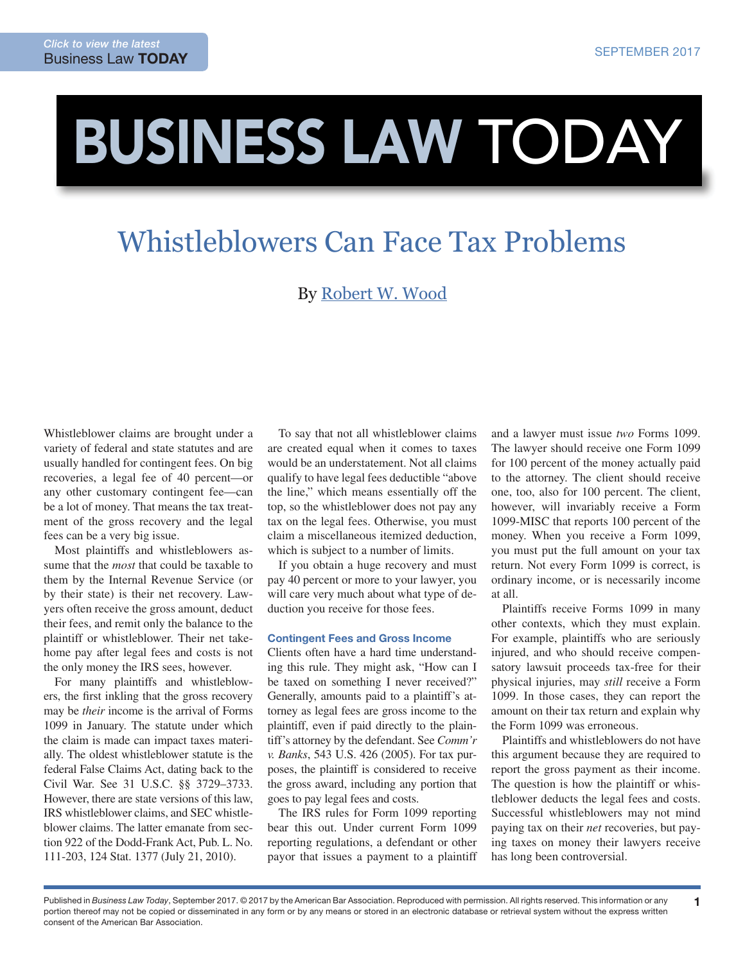# BUSINESS LAW TODAY

## Whistleblowers Can Face Tax Problems

### By [Robert W. Wood](http://www.woodllp.com/Attorneys/rwwbio.htm)

Whistleblower claims are brought under a variety of federal and state statutes and are usually handled for contingent fees. On big recoveries, a legal fee of 40 percent—or any other customary contingent fee—can be a lot of money. That means the tax treatment of the gross recovery and the legal fees can be a very big issue.

Most plaintiffs and whistleblowers assume that the *most* that could be taxable to them by the Internal Revenue Service (or by their state) is their net recovery. Lawyers often receive the gross amount, deduct their fees, and remit only the balance to the plaintiff or whistleblower. Their net takehome pay after legal fees and costs is not the only money the IRS sees, however.

For many plaintiffs and whistleblowers, the first inkling that the gross recovery may be *their* income is the arrival of Forms 1099 in January. The statute under which the claim is made can impact taxes materially. The oldest whistleblower statute is the federal False Claims Act, dating back to the Civil War. See 31 U.S.C. §§ 3729–3733. However, there are state versions of this law, IRS whistleblower claims, and SEC whistleblower claims. The latter emanate from section 922 of the Dodd-Frank Act, Pub. L. No. 111-203, 124 Stat. 1377 (July 21, 2010).

To say that not all whistleblower claims are created equal when it comes to taxes would be an understatement. Not all claims qualify to have legal fees deductible "above the line," which means essentially off the top, so the whistleblower does not pay any tax on the legal fees. Otherwise, you must claim a miscellaneous itemized deduction, which is subject to a number of limits.

If you obtain a huge recovery and must pay 40 percent or more to your lawyer, you will care very much about what type of deduction you receive for those fees.

#### Contingent Fees and Gross Income

Clients often have a hard time understanding this rule. They might ask, "How can I be taxed on something I never received?" Generally, amounts paid to a plaintiff's attorney as legal fees are gross income to the plaintiff, even if paid directly to the plaintiff's attorney by the defendant. See *Comm'r v. Banks*, 543 U.S. 426 (2005). For tax purposes, the plaintiff is considered to receive the gross award, including any portion that goes to pay legal fees and costs.

The IRS rules for Form 1099 reporting bear this out. Under current Form 1099 reporting regulations, a defendant or other payor that issues a payment to a plaintiff and a lawyer must issue *two* Forms 1099. The lawyer should receive one Form 1099 for 100 percent of the money actually paid to the attorney. The client should receive one, too, also for 100 percent. The client, however, will invariably receive a Form 1099-MISC that reports 100 percent of the money. When you receive a Form 1099, you must put the full amount on your tax return. Not every Form 1099 is correct, is ordinary income, or is necessarily income at all.

Plaintiffs receive Forms 1099 in many other contexts, which they must explain. For example, plaintiffs who are seriously injured, and who should receive compensatory lawsuit proceeds tax-free for their physical injuries, may *still* receive a Form 1099. In those cases, they can report the amount on their tax return and explain why the Form 1099 was erroneous.

Plaintiffs and whistleblowers do not have this argument because they are required to report the gross payment as their income. The question is how the plaintiff or whistleblower deducts the legal fees and costs. Successful whistleblowers may not mind paying tax on their *net* recoveries, but paying taxes on money their lawyers receive has long been controversial.

1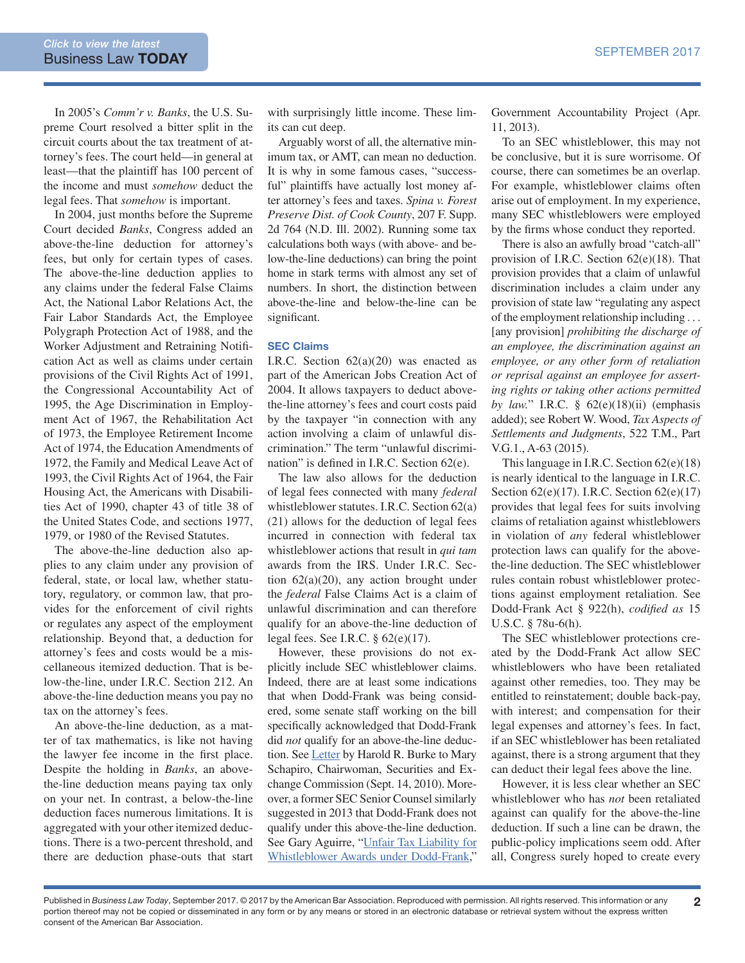In 2005's *Comm'r v. Banks*, the U.S. Supreme Court resolved a bitter split in the circuit courts about the tax treatment of attorney's fees. The court held—in general at least—that the plaintiff has 100 percent of the income and must *somehow* deduct the legal fees. That *somehow* is important.

In 2004, just months before the Supreme Court decided *Banks*, Congress added an above-the-line deduction for attorney's fees, but only for certain types of cases. The above-the-line deduction applies to any claims under the federal False Claims Act, the National Labor Relations Act, the Fair Labor Standards Act, the Employee Polygraph Protection Act of 1988, and the Worker Adjustment and Retraining Notification Act as well as claims under certain provisions of the Civil Rights Act of 1991, the Congressional Accountability Act of 1995, the Age Discrimination in Employment Act of 1967, the Rehabilitation Act of 1973, the Employee Retirement Income Act of 1974, the Education Amendments of 1972, the Family and Medical Leave Act of 1993, the Civil Rights Act of 1964, the Fair Housing Act, the Americans with Disabilities Act of 1990, chapter 43 of title 38 of the United States Code, and sections 1977, 1979, or 1980 of the Revised Statutes.

The above-the-line deduction also applies to any claim under any provision of federal, state, or local law, whether statutory, regulatory, or common law, that provides for the enforcement of civil rights or regulates any aspect of the employment relationship. Beyond that, a deduction for attorney's fees and costs would be a miscellaneous itemized deduction. That is below-the-line, under I.R.C. Section 212. An above-the-line deduction means you pay no tax on the attorney's fees.

An above-the-line deduction, as a matter of tax mathematics, is like not having the lawyer fee income in the first place. Despite the holding in *Banks*, an abovethe-line deduction means paying tax only on your net. In contrast, a below-the-line deduction faces numerous limitations. It is aggregated with your other itemized deductions. There is a two-percent threshold, and there are deduction phase-outs that start

with surprisingly little income. These limits can cut deep.

Arguably worst of all, the alternative minimum tax, or AMT, can mean no deduction. It is why in some famous cases, "successful" plaintiffs have actually lost money after attorney's fees and taxes. *Spina v. Forest Preserve Dist. of Cook County*, 207 F. Supp. 2d 764 (N.D. Ill. 2002). Running some tax calculations both ways (with above- and below-the-line deductions) can bring the point home in stark terms with almost any set of numbers. In short, the distinction between above-the-line and below-the-line can be significant.

#### SEC Claims

I.R.C. Section  $62(a)(20)$  was enacted as part of the American Jobs Creation Act of 2004. It allows taxpayers to deduct abovethe-line attorney's fees and court costs paid by the taxpayer "in connection with any action involving a claim of unlawful discrimination." The term "unlawful discrimination" is defined in I.R.C. Section 62(e).

The law also allows for the deduction of legal fees connected with many *federal* whistleblower statutes. I.R.C. Section 62(a) (21) allows for the deduction of legal fees incurred in connection with federal tax whistleblower actions that result in *qui tam* awards from the IRS. Under I.R.C. Section  $62(a)(20)$ , any action brought under the *federal* False Claims Act is a claim of unlawful discrimination and can therefore qualify for an above-the-line deduction of legal fees. See I.R.C. § 62(e)(17).

However, these provisions do not explicitly include SEC whistleblower claims. Indeed, there are at least some indications that when Dodd-Frank was being considered, some senate staff working on the bill specifically acknowledged that Dodd-Frank did *not* qualify for an above-the-line deduc-tion. See [Letter](https://www.sec.gov/comments/df-title-ix/whistleblower/whistleblower-12.pdf) by Harold R. Burke to Mary Schapiro, Chairwoman, Securities and Exchange Commission (Sept. 14, 2010). Moreover, a former SEC Senior Counsel similarly suggested in 2013 that Dodd-Frank does not qualify under this above-the-line deduction. See Gary Aguirre, "[Unfair Tax Liability for](https://www.whistleblower.org/blog/120011-unfair-tax-liability-whistleblower-awards-under-dodd-frank)  [Whistleblower Awards under Dodd-Frank,](https://www.whistleblower.org/blog/120011-unfair-tax-liability-whistleblower-awards-under-dodd-frank)"

Government Accountability Project (Apr. 11, 2013).

To an SEC whistleblower, this may not be conclusive, but it is sure worrisome. Of course, there can sometimes be an overlap. For example, whistleblower claims often arise out of employment. In my experience, many SEC whistleblowers were employed by the firms whose conduct they reported.

There is also an awfully broad "catch-all" provision of I.R.C. Section 62(e)(18). That provision provides that a claim of unlawful discrimination includes a claim under any provision of state law "regulating any aspect of the employment relationship including . . . [any provision] *prohibiting the discharge of an employee, the discrimination against an employee, or any other form of retaliation or reprisal against an employee for asserting rights or taking other actions permitted by law.*" I.R.C. § 62(e)(18)(ii) (emphasis added); see Robert W. Wood, *Tax Aspects of Settlements and Judgments*, 522 T.M., Part V.G.1., A-63 (2015).

This language in I.R.C. Section 62(e)(18) is nearly identical to the language in I.R.C. Section 62(e)(17). I.R.C. Section 62(e)(17) provides that legal fees for suits involving claims of retaliation against whistleblowers in violation of *any* federal whistleblower protection laws can qualify for the abovethe-line deduction. The SEC whistleblower rules contain robust whistleblower protections against employment retaliation. See Dodd-Frank Act § 922(h), *codified as* 15 U.S.C. § 78u-6(h).

The SEC whistleblower protections created by the Dodd-Frank Act allow SEC whistleblowers who have been retaliated against other remedies, too. They may be entitled to reinstatement; double back-pay, with interest; and compensation for their legal expenses and attorney's fees. In fact, if an SEC whistleblower has been retaliated against, there is a strong argument that they can deduct their legal fees above the line.

However, it is less clear whether an SEC whistleblower who has *not* been retaliated against can qualify for the above-the-line deduction. If such a line can be drawn, the public-policy implications seem odd. After all, Congress surely hoped to create every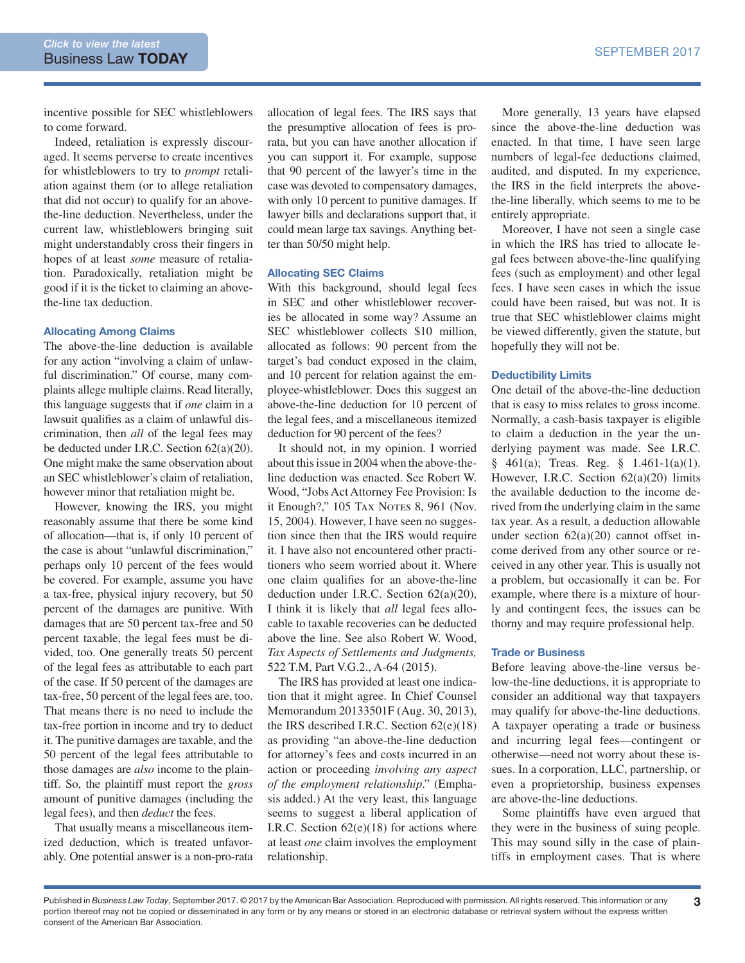incentive possible for SEC whistleblowers to come forward.

Indeed, retaliation is expressly discouraged. It seems perverse to create incentives for whistleblowers to try to *prompt* retaliation against them (or to allege retaliation that did not occur) to qualify for an abovethe-line deduction. Nevertheless, under the current law, whistleblowers bringing suit might understandably cross their fingers in hopes of at least *some* measure of retaliation. Paradoxically, retaliation might be good if it is the ticket to claiming an abovethe-line tax deduction.

#### Allocating Among Claims

The above-the-line deduction is available for any action "involving a claim of unlawful discrimination." Of course, many complaints allege multiple claims. Read literally, this language suggests that if *one* claim in a lawsuit qualifies as a claim of unlawful discrimination, then *all* of the legal fees may be deducted under I.R.C. Section 62(a)(20). One might make the same observation about an SEC whistleblower's claim of retaliation, however minor that retaliation might be.

However, knowing the IRS, you might reasonably assume that there be some kind of allocation—that is, if only 10 percent of the case is about "unlawful discrimination," perhaps only 10 percent of the fees would be covered. For example, assume you have a tax-free, physical injury recovery, but 50 percent of the damages are punitive. With damages that are 50 percent tax-free and 50 percent taxable, the legal fees must be divided, too. One generally treats 50 percent of the legal fees as attributable to each part of the case. If 50 percent of the damages are tax-free, 50 percent of the legal fees are, too. That means there is no need to include the tax-free portion in income and try to deduct it. The punitive damages are taxable, and the 50 percent of the legal fees attributable to those damages are *also* income to the plaintiff. So, the plaintiff must report the *gross* amount of punitive damages (including the legal fees), and then *deduct* the fees.

That usually means a miscellaneous itemized deduction, which is treated unfavorably. One potential answer is a non-pro-rata allocation of legal fees. The IRS says that the presumptive allocation of fees is prorata, but you can have another allocation if you can support it. For example, suppose that 90 percent of the lawyer's time in the case was devoted to compensatory damages, with only 10 percent to punitive damages. If lawyer bills and declarations support that, it could mean large tax savings. Anything better than 50/50 might help.

#### Allocating SEC Claims

With this background, should legal fees in SEC and other whistleblower recoveries be allocated in some way? Assume an SEC whistleblower collects \$10 million, allocated as follows: 90 percent from the target's bad conduct exposed in the claim, and 10 percent for relation against the employee-whistleblower. Does this suggest an above-the-line deduction for 10 percent of the legal fees, and a miscellaneous itemized deduction for 90 percent of the fees?

It should not, in my opinion. I worried about this issue in 2004 when the above-theline deduction was enacted. See Robert W. Wood, "Jobs Act Attorney Fee Provision: Is it Enough?," 105 TAX NOTES 8, 961 (Nov. 15, 2004). However, I have seen no suggestion since then that the IRS would require it. I have also not encountered other practitioners who seem worried about it. Where one claim qualifies for an above-the-line deduction under I.R.C. Section  $62(a)(20)$ , I think it is likely that *all* legal fees allocable to taxable recoveries can be deducted above the line. See also Robert W. Wood, *Tax Aspects of Settlements and Judgments,* 522 T.M, Part V.G.2., A-64 (2015).

The IRS has provided at least one indication that it might agree. In Chief Counsel Memorandum 20133501F (Aug. 30, 2013), the IRS described I.R.C. Section  $62(e)(18)$ as providing "an above-the-line deduction for attorney's fees and costs incurred in an action or proceeding *involving any aspect of the employment relationship*." (Emphasis added.) At the very least, this language seems to suggest a liberal application of I.R.C. Section  $62(e)(18)$  for actions where at least *one* claim involves the employment relationship.

More generally, 13 years have elapsed since the above-the-line deduction was enacted. In that time, I have seen large numbers of legal-fee deductions claimed, audited, and disputed. In my experience, the IRS in the field interprets the abovethe-line liberally, which seems to me to be entirely appropriate.

Moreover, I have not seen a single case in which the IRS has tried to allocate legal fees between above-the-line qualifying fees (such as employment) and other legal fees. I have seen cases in which the issue could have been raised, but was not. It is true that SEC whistleblower claims might be viewed differently, given the statute, but hopefully they will not be.

#### Deductibility Limits

One detail of the above-the-line deduction that is easy to miss relates to gross income. Normally, a cash-basis taxpayer is eligible to claim a deduction in the year the underlying payment was made. See I.R.C. § 461(a); Treas. Reg. § 1.461-1(a)(1). However, I.R.C. Section 62(a)(20) limits the available deduction to the income derived from the underlying claim in the same tax year. As a result, a deduction allowable under section  $62(a)(20)$  cannot offset income derived from any other source or received in any other year. This is usually not a problem, but occasionally it can be. For example, where there is a mixture of hourly and contingent fees, the issues can be thorny and may require professional help.

#### Trade or Business

Before leaving above-the-line versus below-the-line deductions, it is appropriate to consider an additional way that taxpayers may qualify for above-the-line deductions. A taxpayer operating a trade or business and incurring legal fees—contingent or otherwise—need not worry about these issues. In a corporation, LLC, partnership, or even a proprietorship, business expenses are above-the-line deductions.

Some plaintiffs have even argued that they were in the business of suing people. This may sound silly in the case of plaintiffs in employment cases. That is where